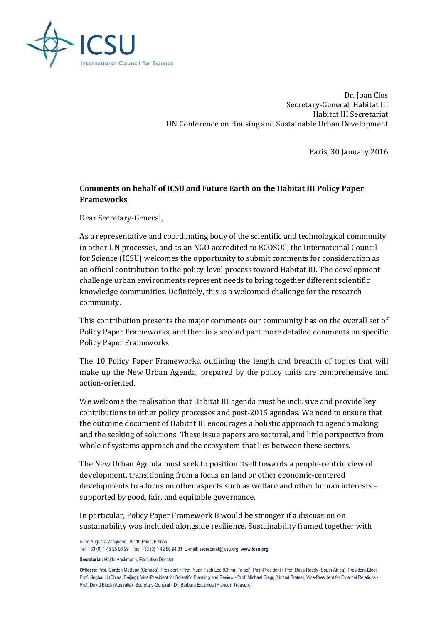

Dr. Joan Clos Secretary-General, Habitat III Habitat III Secretariat UN Conference on Housing and Sustainable Urban Development

Paris, 30 January 2016

# **Comments on behalf of ICSU and Future Earth on the Habitat III Policy Paper Frameworks**

Dear Secretary-General,

As a representative and coordinating body of the scientific and technological community in other UN processes, and as an NGO accredited to ECOSOC, the International Council for Science (ICSU) welcomes the opportunity to submit comments for consideration as an official contribution to the policy-level process toward Habitat III. The development challenge urban environments represent needs to bring together different scientific knowledge communities. Definitely, this is a welcomed challenge for the research community.

This contribution presents the major comments our community has on the overall set of Policy Paper Frameworks, and then in a second part more detailed comments on specific Policy Paper Frameworks.

The 10 Policy Paper Frameworks, outlining the length and breadth of topics that will make up the New Urban Agenda, prepared by the policy units are comprehensive and action-oriented.

We welcome the realisation that Habitat III agenda must be inclusive and provide key contributions to other policy processes and post-2015 agendas. We need to ensure that the outcome document of Habitat III encourages a holistic approach to agenda making and the seeking of solutions. These issue papers are sectoral, and little perspective from whole of systems approach and the ecosystem that lies between these sectors.

The New Urban Agenda must seek to position itself towards a people-centric view of development, transitioning from a focus on land or other economic-centered developments to a focus on other aspects such as welfare and other human interests – supported by good, fair, and equitable governance.

In particular, Policy Paper Framework 8 would be stronger if a discussion on sustainability was included alongside resilience. Sustainability framed together with

5 rue Auguste Vacquerie, 75116 Paris, France

Tel: +33 (0) 1 45 25 03 29 Fax: +33 (0) 1 42 88 94 31 E-mail: secretariat@icsu.org **www.icsu.org**

**Secretariat:** Heide Hackmann, Executive Director

**Officers:** Prof. Gordon McBean (Canada), President • Prof. Yuan Tseh Lee (China: Taipei), Past-President • Prof. Daya Reddy (South Africa), President-Elect Prof. Jinghai Li (China: Beijing), Vice-President for Scientific Planning and Review • Prof. Michael Clegg (United States), Vice-President for External Relations • Prof. David Black (Australia), Secretary-General • Dr. Barbara Erazmus (France), Treasurer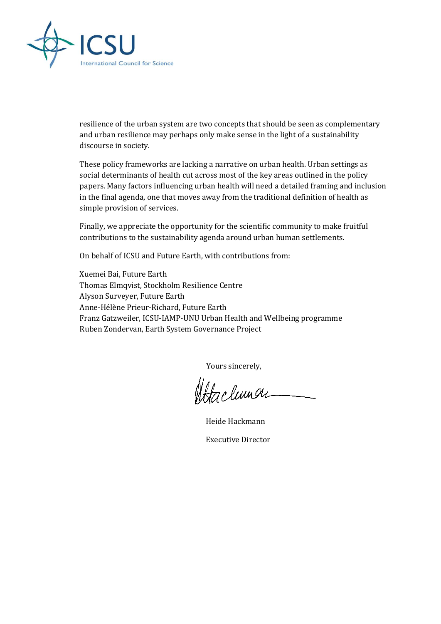

resilience of the urban system are two concepts that should be seen as complementary and urban resilience may perhaps only make sense in the light of a sustainability discourse in society.

These policy frameworks are lacking a narrative on urban health. Urban settings as social determinants of health cut across most of the key areas outlined in the policy papers. Many factors influencing urban health will need a detailed framing and inclusion in the final agenda, one that moves away from the traditional definition of health as simple provision of services.

Finally, we appreciate the opportunity for the scientific community to make fruitful contributions to the sustainability agenda around urban human settlements.

On behalf of ICSU and Future Earth, with contributions from:

Xuemei Bai, Future Earth Thomas Elmqvist, Stockholm Resilience Centre Alyson Surveyer, Future Earth Anne-Hélène Prieur-Richard, Future Earth Franz Gatzweiler, ICSU-IAMP-UNU Urban Health and Wellbeing programme Ruben Zondervan, Earth System Governance Project

Yours sincerely,

Atachunar

Heide Hackmann

Executive Director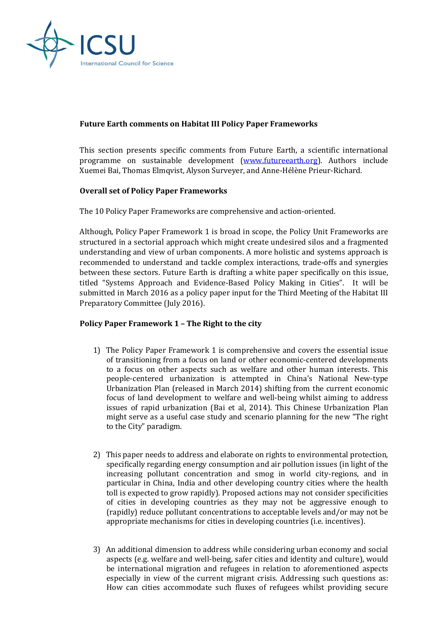

## **Future Earth comments on Habitat III Policy Paper Frameworks**

This section presents specific comments from Future Earth, a scientific international programme on sustainable development [\(www.futureearth.org\)](http://www.futureearth.org/). Authors include Xuemei Bai, Thomas Elmqvist, Alyson Surveyer, and Anne-Hélène Prieur-Richard.

# **Overall set of Policy Paper Frameworks**

The 10 Policy Paper Frameworks are comprehensive and action-oriented.

Although, Policy Paper Framework 1 is broad in scope, the Policy Unit Frameworks are structured in a sectorial approach which might create undesired silos and a fragmented understanding and view of urban components. A more holistic and systems approach is recommended to understand and tackle complex interactions, trade-offs and synergies between these sectors. Future Earth is drafting a white paper specifically on this issue, titled "Systems Approach and Evidence-Based Policy Making in Cities". It will be submitted in March 2016 as a policy paper input for the Third Meeting of the Habitat III Preparatory Committee (July 2016).

### **Policy Paper Framework 1 – The Right to the city**

- 1) The Policy Paper Framework 1 is comprehensive and covers the essential issue of transitioning from a focus on land or other economic-centered developments to a focus on other aspects such as welfare and other human interests. This people-centered urbanization is attempted in China's National New-type Urbanization Plan (released in March 2014) shifting from the current economic focus of land development to welfare and well-being whilst aiming to address issues of rapid urbanization (Bai et al, 2014). This Chinese Urbanization Plan might serve as a useful case study and scenario planning for the new "The right to the City" paradigm.
- 2) This paper needs to address and elaborate on rights to environmental protection, specifically regarding energy consumption and air pollution issues (in light of the increasing pollutant concentration and smog in world city-regions, and in particular in China, India and other developing country cities where the health toll is expected to grow rapidly). Proposed actions may not consider specificities of cities in developing countries as they may not be aggressive enough to (rapidly) reduce pollutant concentrations to acceptable levels and/or may not be appropriate mechanisms for cities in developing countries (i.e. incentives).
- 3) An additional dimension to address while considering urban economy and social aspects (e.g. welfare and well-being, safer cities and identity and culture), would be international migration and refugees in relation to aforementioned aspects especially in view of the current migrant crisis. Addressing such questions as: How can cities accommodate such fluxes of refugees whilst providing secure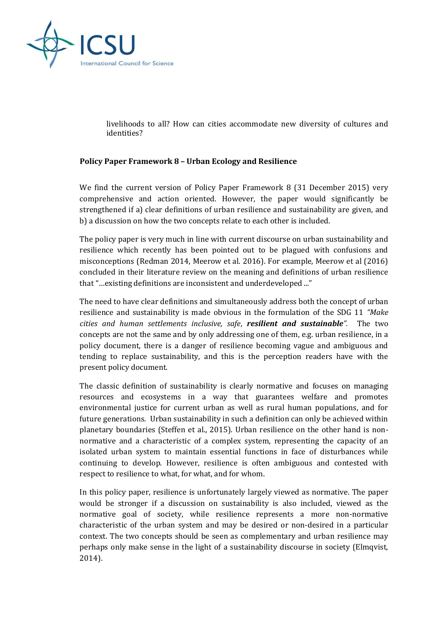

livelihoods to all? How can cities accommodate new diversity of cultures and identities?

### **Policy Paper Framework 8 – Urban Ecology and Resilience**

We find the current version of Policy Paper Framework 8 (31 December 2015) very comprehensive and action oriented. However, the paper would significantly be strengthened if a) clear definitions of urban resilience and sustainability are given, and b) a discussion on how the two concepts relate to each other is included.

The policy paper is very much in line with current discourse on urban sustainability and resilience which recently has been pointed out to be plagued with confusions and misconceptions (Redman 2014, Meerow et al. 2016). For example, Meerow et al (2016) concluded in their literature review on the meaning and definitions of urban resilience that "…existing definitions are inconsistent and underdeveloped ..."

The need to have clear definitions and simultaneously address both the concept of urban resilience and sustainability is made obvious in the formulation of the SDG 11 *"Make cities and human settlements inclusive, safe*, *resilient and sustainable".* The two concepts are not the same and by only addressing one of them, e.g. urban resilience, in a policy document, there is a danger of resilience becoming vague and ambiguous and tending to replace sustainability, and this is the perception readers have with the present policy document.

The classic definition of sustainability is clearly normative and focuses on managing resources and ecosystems in a way that guarantees welfare and promotes environmental justice for current urban as well as rural human populations, and for future generations. Urban sustainability in such a definition can only be achieved within planetary boundaries (Steffen et al., 2015). Urban resilience on the other hand is nonnormative and a characteristic of a complex system, representing the capacity of an isolated urban system to maintain essential functions in face of disturbances while continuing to develop. However, resilience is often ambiguous and contested with respect to resilience to what, for what, and for whom.

In this policy paper, resilience is unfortunately largely viewed as normative. The paper would be stronger if a discussion on sustainability is also included, viewed as the normative goal of society, while resilience represents a more non-normative characteristic of the urban system and may be desired or non-desired in a particular context. The two concepts should be seen as complementary and urban resilience may perhaps only make sense in the light of a sustainability discourse in society (Elmqvist, 2014).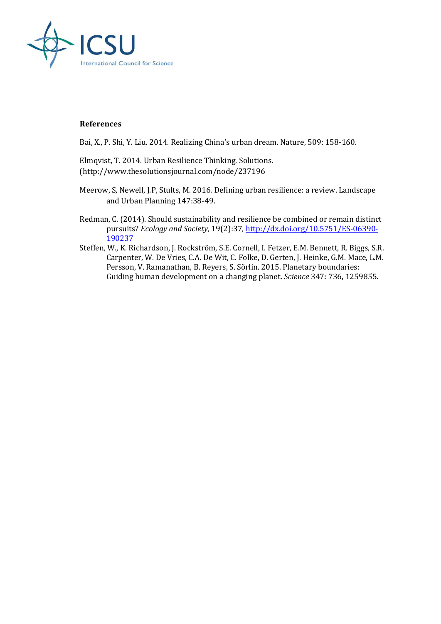

#### **References**

Bai, X., P. Shi, Y. Liu. 2014. Realizing China's urban dream. Nature, 509: 158-160.

Elmqvist, T. 2014. Urban Resilience Thinking. Solutions. (http://www.thesolutionsjournal.com/node/237196

- Meerow, S, Newell, J.P, Stults, M. 2016. Defining urban resilience: a review. Landscape and Urban Planning 147:38-49.
- Redman, C. (2014). Should sustainability and resilience be combined or remain distinct pursuits? *Ecology and Society*, 19(2):37[, http://dx.doi.org/10.5751/ES-06390-](http://dx.doi.org/10.5751/ES-06390-190237) [190237](http://dx.doi.org/10.5751/ES-06390-190237)
- Steffen, W., K. Richardson, J. Rockström, S.E. Cornell, I. Fetzer, E.M. Bennett, R. Biggs, S.R. Carpenter, W. De Vries, C.A. De Wit, C. Folke, D. Gerten, J. Heinke, G.M. Mace, L.M. Persson, V. Ramanathan, B. Reyers, S. Sörlin. 2015. Planetary boundaries: Guiding human development on a changing planet. *Science* 347: 736, 1259855.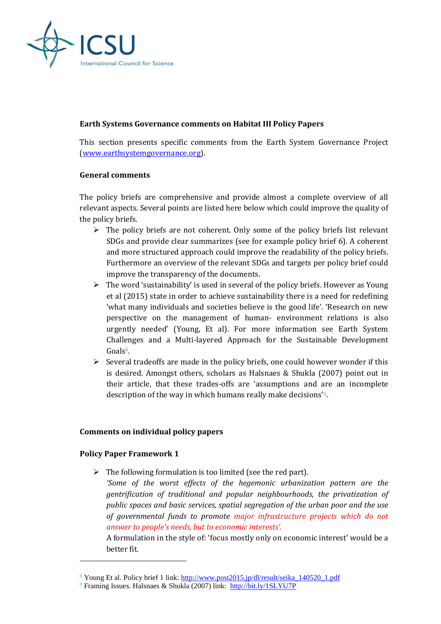

## **Earth Systems Governance comments on Habitat III Policy Papers**

This section presents specific comments from the Earth System Governance Project [\(www.earthsystemgovernance.org\)](http://www.earthsystemgovernance.org/).

#### **General comments**

The policy briefs are comprehensive and provide almost a complete overview of all relevant aspects. Several points are listed here below which could improve the quality of the policy briefs.

- $\triangleright$  The policy briefs are not coherent. Only some of the policy briefs list relevant SDGs and provide clear summarizes (see for example policy brief 6). A coherent and more structured approach could improve the readability of the policy briefs. Furthermore an overview of the relevant SDGs and targets per policy brief could improve the transparency of the documents.
- $\triangleright$  The word 'sustainability' is used in several of the policy briefs. However as Young et al (2015) state in order to achieve sustainability there is a need for redefining 'what many individuals and societies believe is the good life'. 'Research on new perspective on the management of human- environment relations is also urgently needed' (Young, Et al). For more information see Earth System Challenges and a Multi-layered Approach for the Sustainable Development  $G$ oals<sup> $0$ </sup>.
- $\triangleright$  Several tradeoffs are made in the policy briefs, one could however wonder if this is desired. Amongst others, scholars as Halsnaes & Shukla (2007) point out in their article, that these trades-offs are 'assumptions and are an incomplete description of the way in which humans really make decisions'0.

### **Comments on individual policy papers**

### **Policy Paper Framework 1**

 $\overline{a}$ 

- $\triangleright$  The following formulation is too limited (see the red part).
	- *'Some of the worst effects of the hegemonic urbanization pattern are the gentrification of traditional and popular neighbourhoods, the privatization of public spaces and basic services, spatial segregation of the urban poor and the use of governmental funds to promote major infrastructure projects which do not answer to people's needs, but to economic interests'*.

A formulation in the style of: 'focus mostly only on economic interest' would be a better fit.

<sup>0</sup> Young Et al. Policy brief 1 link: [http://www.post2015.jp/dl/result/seika\\_140520\\_1.pdf](http://www.post2015.jp/dl/result/seika_140520_1.pdf)

<sup>0</sup> Framing Issues. Halsnaes & Shukla (2007) link: <http://bit.ly/1SLYU7P>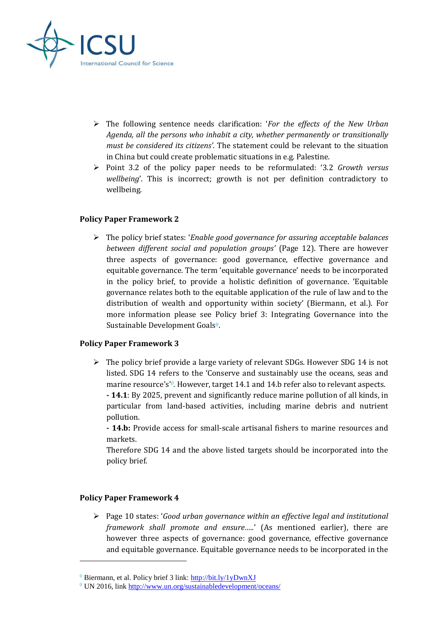

- The following sentence needs clarification: '*For the effects of the New Urban Agenda, all the persons who inhabit a city, whether permanently or transitionally must be considered its citizens'*. The statement could be relevant to the situation in China but could create problematic situations in e.g. Palestine.
- Point 3.2 of the policy paper needs to be reformulated: '3.2 *Growth versus wellbeing*'. This is incorrect; growth is not per definition contradictory to wellbeing.

# **Policy Paper Framework 2**

 The policy brief states: '*Enable good governance for assuring acceptable balances between different social and population groups'* (Page 12). There are however three aspects of governance: good governance, effective governance and equitable governance. The term 'equitable governance' needs to be incorporated in the policy brief, to provide a holistic definition of governance. 'Equitable governance relates both to the equitable application of the rule of law and to the distribution of wealth and opportunity within society' (Biermann, et al.). For more information please see Policy brief 3: Integrating Governance into the Sustainable Development Goals<sup>0</sup>.

### **Policy Paper Framework 3**

 $\triangleright$  The policy brief provide a large variety of relevant SDGs. However SDG 14 is not listed. SDG 14 refers to the 'Conserve and sustainably use the oceans, seas and marine resource's<sup>'o</sup>. However, target 14.1 and 14.b refer also to relevant aspects.

**- 14.1**: By 2025, prevent and significantly reduce marine pollution of all kinds, in particular from land-based activities, including marine debris and nutrient pollution.

**- 14.b:** Provide access for small-scale artisanal fishers to marine resources and markets.

Therefore SDG 14 and the above listed targets should be incorporated into the policy brief.

### **Policy Paper Framework 4**

l

 Page 10 states: '*Good urban governance within an effective legal and institutional framework shall promote and ensure…..*' (As mentioned earlier), there are however three aspects of governance: good governance, effective governance and equitable governance. Equitable governance needs to be incorporated in the

 $^{0}$  Biermann, et al. Policy brief 3 link:<http://bit.ly/1yDwnXJ>

 $0$  UN 2016, link<http://www.un.org/sustainabledevelopment/oceans/>